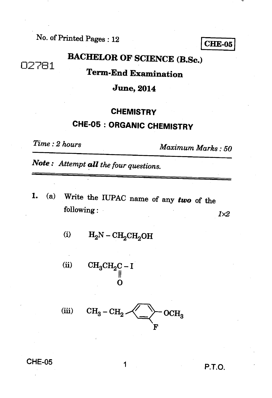**No. of Printed Pages : 12** 

**BACHELOR OF SCIENCE (B.Sc.)** 

## **Term-End Examination**

#### **June, 2014**

#### **CHEMISTRY**

# **CHE-05 : ORGANIC CHEMISTRY**

02781

*Time : 2 hours Maximum Marks : 50* 

*Note : Attempt all the four questions.* 

*1.* **(a) Write the IUPAC name of any** *two* **of the following :** *1x2* 

(i)  $H_2N - CH_2CH_2OH$ 

 $CH_3CH_2C - I$  $(ii)$ **11 0** 

(iii) 
$$
CH_3-CH_2
$$
  $\leftarrow$   $OCH_3$   $F$ 

**CHE-05** 1 **P.T.O.** 

**CHE-05**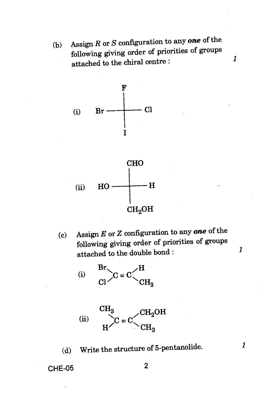(b) Assign *R* or *S* configuration to any *one* of the following giving order of priorities of groups attached to the chiral centre : <sup>1</sup>





(c) Assign *E* or *Z* configuration to any *one* of the following giving order of priorities of groups attached to the double bond :

*1* 

 $\mathbf{1}$ 

 $Br_{\diagdown}$ (i)  $\frac{Br}{Cl}$   $\bigg\{C = C \bigg\}$   $\frac{C}{CH}$  $C = C$  $CH<sub>3</sub>$ 



(d) Write the structure of 5-pentanolide.

CHE-05 2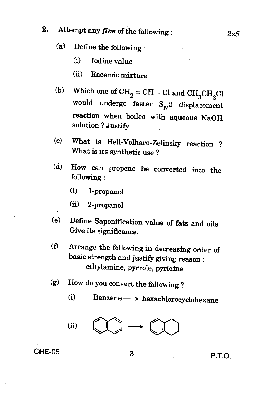## **2.** Attempt any *five* of the following :  $2 \times 5$

- **(a) Define the following :** 
	- **(i) Iodine value**
	- **(ii) Racemic mixture**
- (b) Which one of  $\text{CH}_2 = \text{CH} \text{Cl}$  and  $\text{CH}_3\text{CH}_2\text{Cl}$ would undergo faster  $S_N^2$  displacement **reaction when boiled with aqueous NaOH solution ? Justify.**
- **(c) What is Hell-Volhard-Zelinsky reaction ? What is its synthetic use ?**
- **(d) How can propene be converted into the following :** 
	- **(i) 1-propanol**

**(ii) 2-propanol** 

- **(e) Define Saponification value of fats and oils. Give its significance.**
- **(f) Arrange the following in decreasing order of basic strength and justify giving reason : ethylamine, pyrrole, pyridine**
- **(g) How do you convert the following ?** 
	- **(i) Benzene hexachlorocyclohexane**

 $(ii)$ 

# **CHE-05 3 P.T.O.**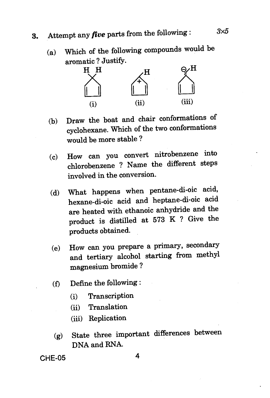# **3.** Attempt any *five* parts from the following :  $3\times5$

(a) Which of the following compounds would be aromatic ? Justify.



- (b) Draw the boat and chair conformations of cyclohexane. Which of the two conformations would be more stable ?
- (c) How can you convert nitrobenzene into chlorobenzene ? Name the different steps involved in the conversion.
- (d) What happens when pentane-di-oic acid, hexane-di-oic acid and heptane-di-oic acid are heated with ethanoic anhydride and the product is distilled at 573 K ? Give the products obtained.
- (e) How can you prepare a primary, secondary and tertiary alcohol starting from methyl magnesium bromide ?
- (f) Define the following :
	- (i) Transcription
	- (ii) Translation
	- (iii) Replication
- (g) State three important differences between DNA and RNA.

**CHE-05 4**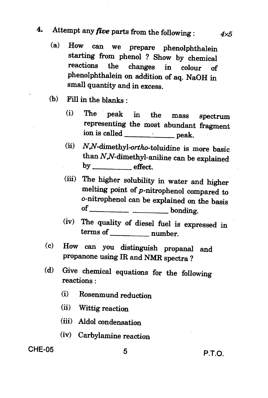## **4. Attempt any** *five* **parts from the following :** *4x5*

- **(a) How can we prepare phenolphthalein starting from phenol ? Show by chemical reactions the changes in colour of phenolphthalein on addition of aq. NaOH in small quantity and in excess.**
- **(b) Fill in the blanks :** 
	- **(i) The peak in the mass spectrum representing the most abundant fragment**  ion is called **peak. peak.**
	- **(ii) N,N-dimethyl-ortho-toluidine is more basic than N,N-dimethyl-aniline can be explained**  by **effect**.
	- **(iii) The higher solubility in water and higher melting point of p-nitrophenol compared to o-nitrophenol can be explained on the basis of bonding.**
	- **(iv) The quality of diesel fuel is expressed in terms of number.**
- **(c) How can you distinguish propanal and propanone using IR and NMR spectra ?**
- **(d) Give chemical equations for the following reactions :** 
	- **(i) Rosenmund reduction**
	- **(ii) Wittig reaction**
	- **(iii) Aldol condensation**
	- **(iv) Carbylamine reaction**

## **CHE-05 5 P.T.O.**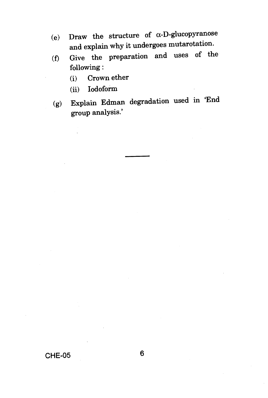- (e) Draw the structure of  $\alpha$ -D-glucopyranose and explain why it undergoes mutarotation.
- (f) Give the preparation and uses of the following :
	- (i) Crown ether
	- (ii) Iodoform
- (g) Explain Edman degradation used in 'End group analysis.'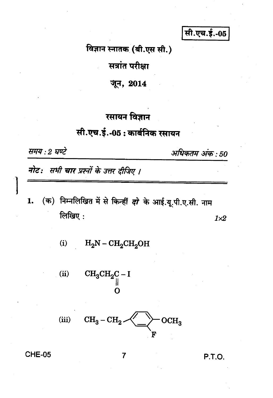सी.एच.ई.-05

विज्ञान स्नातक (बी.एस सी.)

सत्रांत परीक्षा

जून, 2014

#### रसायन विज्ञान

## सी.एच.ई.-05 : कार्बनिक रसायन

समय : 2 घण्टे

अधिकतम अंक : 50

नोट: सभी चार प्रश्नों के उत्तर दीजिए ।

- (क) निम्नलिखित में से किन्हीं *दो* के आई.यू.पी.ए.सी. नाम 1. लिखिए:  $1\times 2$ 
	- $(i)$  $H_2N - CH_2CH_2OH$

 $CH_3CH_2C-I$  $(ii)$ 



**CHE-05** 

7

P.T.O.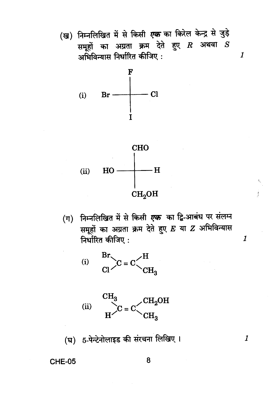(ख) निम्नलिखित में से किसी *एक* का किरेल केन्द्र से जुड़े समूहों का अग्रता क्रम देते हुए  $\bm{R}$  अथवा  $\bm{S}$ अभिविन्यास निर्धारित कीजिए :  $\boldsymbol{\mathit{1}}$ 



(ग) निम्नलिखित में से किसी *एक* का द्वि-आबंध पर संलग्न समूहों का अग्रता क्रम देते हुए E या Z अभिविन्यास निर्धारित कीजिए:

j

 $\boldsymbol{\mathit{1}}$ 

 $\boldsymbol{\mathit{1}}$ 





(घ) 5-पेन्टेनोलाइड की संरचना लिखिए।

**CHE-05** 

8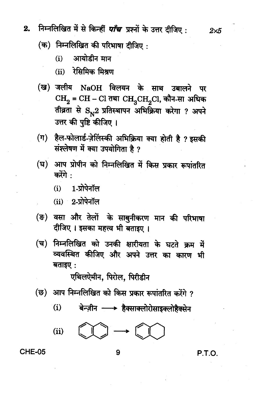- निम्नलिखित में से किन्हीं *पाँच* प्रश्नों के उत्तर दीजिए :  $2.$ 
	- $($ क) निम्नलिखित की परिभाषा दीजिए :
		- आयोडीन मान  $(i)$
		- (ii) रेसिमिक मिश्रण
	- (ख) जलीय NaOH विलयन के साथ उबालने पर  $CH_2 = CH - Cl$  तथा  $CH_3CH_2Cl$ , कौन-सा अधिक तीव्रता से S<sub>N</sub>2 प्रतिस्थापन अभिक्रिया करेगा ? अपने उत्तर की पुष्टि कीजिए।
	- (ग) हैल-फोलार्ड-ज़ेलिंस्की अभिक्रिया क्या होती है ? इसकी संश्लेषण में क्या उपयोगिता है ?
	- (घ) आप प्रोपीन को निम्नलिखित में किस प्रकार रूपांतरित करेंगे :
		- 1-प्रोपेनॉल  $(i)$
		- $(ii)$  2-प्रोपेनॉल
	- (ङ) वसा और तेलों के साबुनीकरण मान की परिभाषा दीजिए । इसका महत्त्व भी बताइए ।
	- निम्नलिखित को उनकी क्षारीयता के घटते क्रम में (च) व्यवस्थित कीजिए और अपने उत्तर का कारण भी बताइए:

एथिलऐमीन. पिरोल. पिरीडीन

- (छ) आप निम्नलिखित को किस प्रकार रूपांतरित करेंगे ?
	- $(i)$ बेन्ज़ीन — > हैक्साक्लोरोसाइक्लोहैक्सेन

ĺ  $(ii)$ 

$$
\text{Id} \rightarrow \text{Id}
$$

#### **CHE-05**

P.T.O.

 $2\times 5$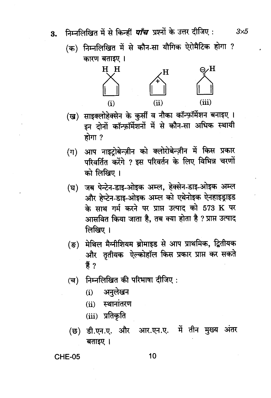निम्नलिखित में से किन्हीं *पाँच* प्रश्नों के उत्तर दीजिए : 3.

(क) निम्नलिखित में से कौन-सा यौगिक ऐरोमैटिक होगा ? कारण बताइए ।



- (ख) साइक्लोहेक्सेन के कुर्सी व नौका कॉन्फ़ॉर्मेशन बनाइए। इन दोनों कॉन्फ़ॉर्मेशनों में से कौन-सा अधिक स्थायी होगा ?
- आप नाइटोबेन्ज़ीन को क्लोरोबेन्ज़ीन में किस प्रकार  $(\pi)$ परिवर्तित करेंगे ? इस परिवर्तन के लिए विभिन्न चरणों को लिखिए ।
- जब पेन्टेन-डाइ-ओइक अम्ल, हेक्सेन-डाइ-ओइक अम्ल (घ) और हेप्टेन-डाइ-ओइक अम्ल को एथेनोइक ऐनहाइड्राइड के साथ गर्म करने पर प्राप्त उत्पाद को 573 K पर आसवित किया जाता है, तब क्या होता है ? प्राप्त उत्पाद लिखिए ।
- (ङ) मेथिल मैग्नीशियम ब्रोमाइड से आप प्राथमिक, द्वितीयक और तृतीयक ऐल्कोहॉल किस प्रकार प्राप्त कर सकते हैं ?
- निम्नलिखित की परिभाषा दीजिए :  $(\overline{\mathbf{d}})$ 
	- अनुलेखन  $(i)$
	- स्थानांतरण  $(ii)$
	- (iii) प्रतिकृति
- डी.एन.ए. और आर.एन.ए. में तीन मुख्य अंतर (छ) बताइए ।

**CHE-05** 

10

 $3\times 5$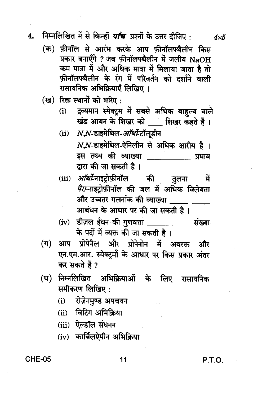#### निम्नलिखित में से किन्हीं *पाँच* प्रश्नों के उत्तर दीजिए : 4.

- (क) फ़ीनॉल से आरंभ करके आप फ़ीनॉलफ्थैलीन किस प्रकार बनाएँगे ? जब फ़ीनॉलफ्थैलीन में जलीय NaOH कम मात्रा में और अधिक मात्रा में मिलाया जाता है तो फ़ीनॉलफ्थैलीन के रंग में परिवर्तन को दर्शाने वाली रासायनिक अभिक्रियाएँ लिखिए।
- (ख) रिक्त स्थानों को भरिए:
	- (i) द्रव्यमान स्पेक्ट्रम में सबसे अधिक बाहुल्य वाले खंड आयन के शिखर को | शिखर कहते हैं।
	- (ii) N.N-डाइमेथिल-*ऑर्थो*-टॉलुडीन  $NN$ -डाइमेथिल-ऐनिलीन से अधिक क्षारीय है। इस तथ्य की व्याख्या स्त्री संस्कृत स्थान संस्कृत स्थान संस्कृत स्थान संस्कृत स्थान संस्कृत स्थान संस्कृत स्थान संस्कृत स् द्वारा की जा सकती है।
	- *ऑर्थो*-नाइटोफ़ीनॉल की तुलना  $(iii)$ में *पैरा*-नाइट्रोफ़ीनॉल की जल में अधिक विलेयता और उच्चतर गलनांक की व्याख्या आबंधन के आधार पर की जा सकती है ।
	- (iv) डीज़ल ईंधन की गुणवत्ता \_\_\_\_\_\_\_\_\_\_\_\_ संख्या के पदों में व्यक्त की जा सकती है।
- आप प्रोपेनैल और प्रोपेनोन में अवरक्त और  $(\pi)$ एन.एम.आर. स्पेक्टमों के आधार पर किस प्रकार अंतर कर सकते हैं ?
- निम्नलिखित अभिक्रियाओं के लिए रासायनिक (घ) समीकरण लिखिए:
	- (i) रोज़ेनमुण्ड अपचयन
	- (ii) विटिंग अभिक्रिया
	- $(iii)$  ऐल्डॉल संघनन
	- (iv) कार्बिलऐमीन अभिक्रिया

**CHE-05** 

P.T.O.

 $4\times 5$